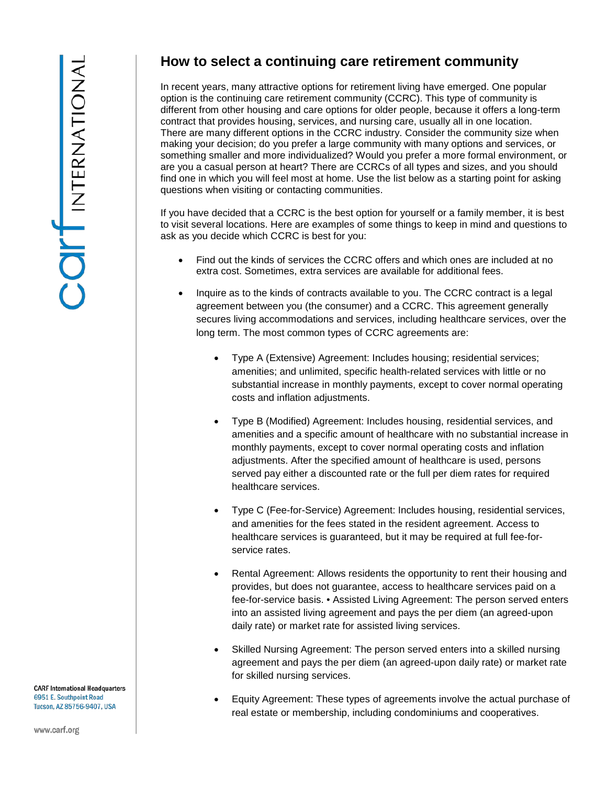**CARF International Headquarters** 6951 E. Southpoint Road Tucson, AZ 85756-9407, USA

## **How to select a continuing care retirement community**

In recent years, many attractive options for retirement living have emerged. One popular option is the continuing care retirement community (CCRC). This type of community is different from other housing and care options for older people, because it offers a long-term contract that provides housing, services, and nursing care, usually all in one location. There are many different options in the CCRC industry. Consider the community size when making your decision; do you prefer a large community with many options and services, or something smaller and more individualized? Would you prefer a more formal environment, or are you a casual person at heart? There are CCRCs of all types and sizes, and you should find one in which you will feel most at home. Use the list below as a starting point for asking questions when visiting or contacting communities.

If you have decided that a CCRC is the best option for yourself or a family member, it is best to visit several locations. Here are examples of some things to keep in mind and questions to ask as you decide which CCRC is best for you:

- Find out the kinds of services the CCRC offers and which ones are included at no extra cost. Sometimes, extra services are available for additional fees.
- Inquire as to the kinds of contracts available to you. The CCRC contract is a legal agreement between you (the consumer) and a CCRC. This agreement generally secures living accommodations and services, including healthcare services, over the long term. The most common types of CCRC agreements are:
	- Type A (Extensive) Agreement: Includes housing; residential services; amenities; and unlimited, specific health-related services with little or no substantial increase in monthly payments, except to cover normal operating costs and inflation adjustments.
	- Type B (Modified) Agreement: Includes housing, residential services, and amenities and a specific amount of healthcare with no substantial increase in monthly payments, except to cover normal operating costs and inflation adjustments. After the specified amount of healthcare is used, persons served pay either a discounted rate or the full per diem rates for required healthcare services.
	- Type C (Fee-for-Service) Agreement: Includes housing, residential services, and amenities for the fees stated in the resident agreement. Access to healthcare services is guaranteed, but it may be required at full fee-forservice rates.
	- Rental Agreement: Allows residents the opportunity to rent their housing and provides, but does not guarantee, access to healthcare services paid on a fee-for-service basis. • Assisted Living Agreement: The person served enters into an assisted living agreement and pays the per diem (an agreed-upon daily rate) or market rate for assisted living services.
	- Skilled Nursing Agreement: The person served enters into a skilled nursing agreement and pays the per diem (an agreed-upon daily rate) or market rate for skilled nursing services.
	- Equity Agreement: These types of agreements involve the actual purchase of real estate or membership, including condominiums and cooperatives.